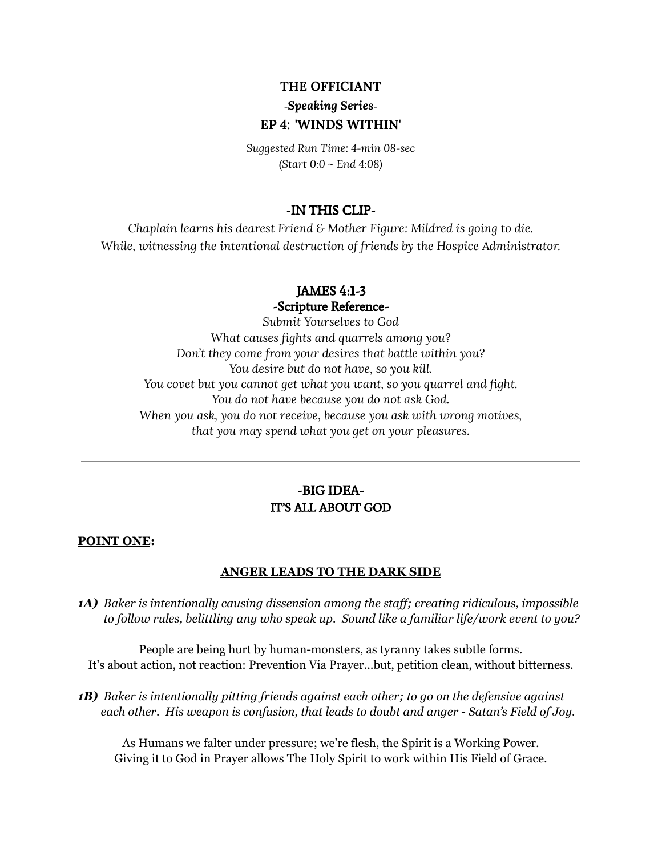### **THE OFFICIANT**

# **-***Speaking Series-***EP 4**: **'WINDS WITHIN'**

*Suggested Run Time: 4-min 08-sec (Start 0:0 ~ End 4:08)*

## -IN THIS CLIP-

*Chaplain learns his dearest Friend & Mother Figure: Mildred is going to die. While, witnessing the intentional destruction of friends by the Hospice Administrator.*

## JAMES 4:1-3

-Scripture Reference-

*Submit Yourselves to God What causes fights and quarrels among you? Don't they come from your desires that battle within you? You desire but do not have, so you kill. You covet but you cannot get what you want, so you quarrel and fight. You do not have because you do not ask God. When you ask, you do not receive, because you ask with wrong motives, that you may spend what you get on your pleasures.*

## -BIG IDEA-IT'S ALL ABOUT GOD

#### **POINT ONE:**

#### **ANGER LEADS TO THE DARK SIDE**

*1A) Baker is intentionally causing dissension among the staf ; creating ridiculous, impossible to follow rules, belittling any who speak up. Sound like a familiar life/work event to you?*

People are being hurt by human-monsters, as tyranny takes subtle forms. It's about action, not reaction: Prevention Via Prayer...but, petition clean, without bitterness.

*1B) Baker is intentionally pitting friends against each other; to go on the defensive against each other. His weapon is confusion, that leads to doubt and anger - Satan's Field of Joy.*

As Humans we falter under pressure; we're flesh, the Spirit is a Working Power. Giving it to God in Prayer allows The Holy Spirit to work within His Field of Grace.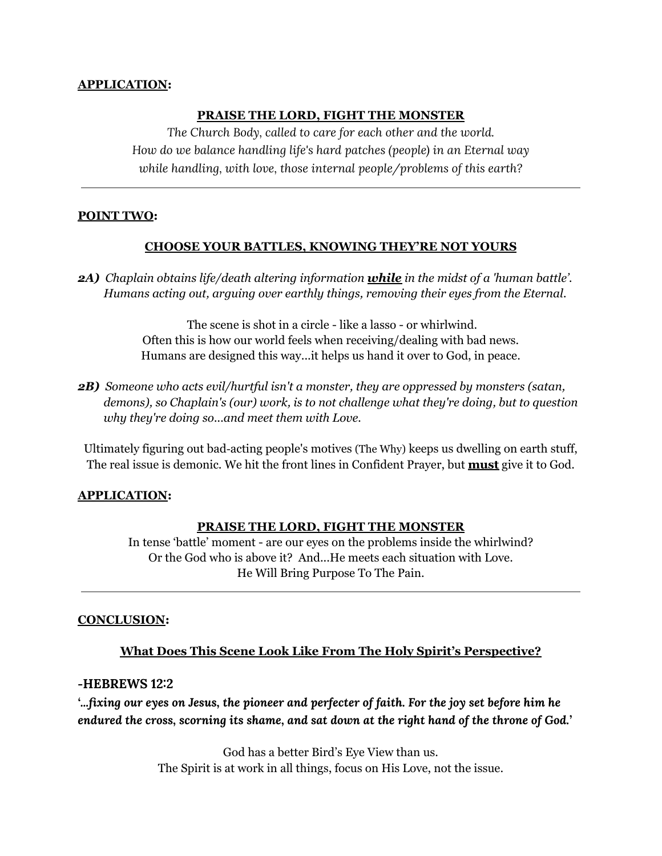### **APPLICATION:**

### **PRAISE THE LORD, FIGHT THE MONSTER**

*The Church Body, called to care for each other and the world. How do we balance handling life's hard patches (people) in an Eternal way while handling, with love, those internal people/problems of this earth?*

#### **POINT TWO:**

#### **CHOOSE YOUR BATTLES, KNOWING THEY'RE NOT YOURS**

*2A) Chaplain obtains life/death altering information while in the midst of a 'human battle'. Humans acting out, arguing over earthly things, removing their eyes from the Eternal.*

> The scene is shot in a circle - like a lasso - or whirlwind. Often this is how our world feels when receiving/dealing with bad news. Humans are designed this way...it helps us hand it over to God, in peace.

*2B) Someone who acts evil/hurtful isn't a monster, they are oppressed by monsters (satan, demons), so Chaplain's (our) work, is to not challenge what they're doing, but to question why they're doing so...and meet them with Love.*

Ultimately figuring out bad-acting people's motives (The Why) keeps us dwelling on earth stuff, The real issue is demonic. We hit the front lines in Confident Prayer, but **must** give it to God.

#### **APPLICATION:**

#### **PRAISE THE LORD, FIGHT THE MONSTER**

In tense 'battle' moment - are our eyes on the problems inside the whirlwind? Or the God who is above it? And...He meets each situation with Love. He Will Bring Purpose To The Pain.

#### **CONCLUSION:**

### **What Does This Scene Look Like From The Holy Spirit's Perspective?**

#### **-HEBREWS 12:2**

*'...fixing our eyes on Jesus, the pioneer and perfecter of faith. For the joy set before him he endured the cross, scorning its shame, and sat down at the right hand of the throne of God.'*

> God has a better Bird's Eye View than us. The Spirit is at work in all things, focus on His Love, not the issue.